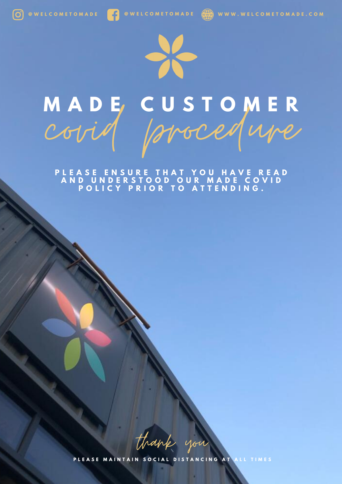

# covid procedure **M A D E C U S T O M E R**

PLEASE ENSURE THAT YOU HAVE READ **A N D U N D E R S T O O D O U R M A D E C O V I D P O L I C Y P R I O R T O A T T E N D I N G .**

Haup you

PLEASE MAINTAIN SOCIAL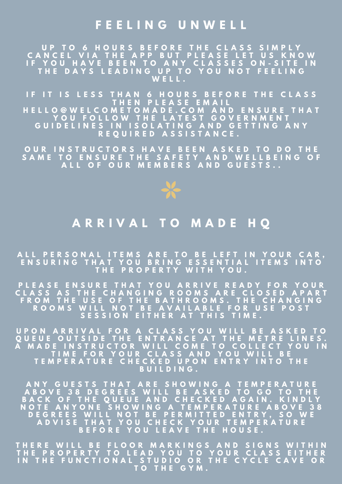## **F E E L I N G U N W E L L**

UP TO 6 HOURS BEFORE THE CLASS SIMPLY CANCEL VIA THE APP BUT PLEASE LET US KNOW IF YOU HAVE BEEN TO ANY CLASSES ON-SITE IN THE DAYS LEADING UP TO YOU NOT FEELING **W E L L .**

IF IT IS LESS THAN 6 HOURS BEFORE THE CLASS **T H E N P L E A S E E M A I L** HELLO @ W ELCOMETOMADE. COM A N D E N S U R E T H A T YOU FOLLOW THE LATEST GOVERNMENT GUIDELINES IN ISOLATING AND GETTING ANY **R E Q U I R E D A S S I S T A N C E .**

OUR INSTRUCTORS HAVE BEEN ASKED TO DO THE SAME TO ENSURE THE SAFETY AND WELLBEING OF ALL OF OUR MEMBERS AND GUESTS..



# **A R R I V A L T O M A D E H Q**

ALL PERSONAL ITEMS ARE TO BE LEFT IN YOUR CAR, ENSURING THAT YOU BRING ESSENTIAL ITEMS INTO **T H E P R O P E R T Y W I T H Y O U .**

PLEASE ENSURE THAT YOU ARRIVE READY FOR YOUR CLASS AS THE CHANGING ROOMS ARE CLOSED APART FROM THE USE OF THE BATHROOMS. THE CHANGING ROOMS WILL NOT BE AVAILABLE FOR USE POST **S E S S I O N E I T H E R A T T H I S T I M E .**

UPON ARRIVAL FOR A CLASS YOU WILL BE ASKED TO QUEUE OUTSIDE THE ENTRANCE AT THE METRE LINES. A MADE INSTRUCTOR WILL COME TO COLLECT YOU IN TIME FOR YOUR CLASS AND YOU WILL BE TEMPERATURE CHECKED UPON ENTRY INTO THE **B U I L D I N G .**

ANY GUESTS THAT ARE SHOWING A TEMPERATURE ABOVE 38 DEGREES WILL BE ASKED TO GO TO THE BACK OF THE QUEUE AND CHECKED AGAIN. KINDLY NOTE ANYONE SHOWING A TEMPERATURE ABOVE 38 DEGREES WILL NOT BE PERMITTED ENTRY, SO WE ADVISE THAT YOU CHECK YOUR TEMPERATURE **B E F O R E Y O U L E A V E T H E H O U S E .**

THERE WILL BE FLOOR MARKINGS AND SIGNS WITHIN THE PROPERTY TO LEAD YOU TO YOUR CLASS EITHER IN THE FUNCTIONAL STUDIO OR THE CYCLE CAVE OR **T O T H E G Y M .**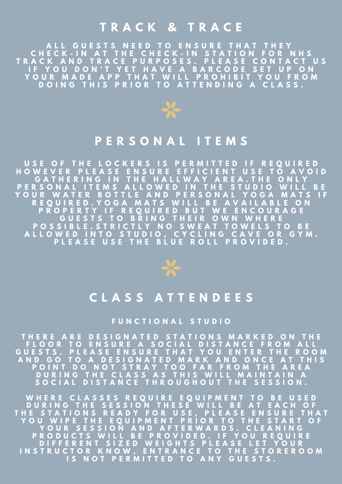## **T R A C K & T R A C E**

ALL GUESTS NEED TO ENSURE THAT THEY CHECK-IN AT THE CHECK-IN STATION FOR NHS TRACK AND TRACE PURPOSES. PLEASE CONTACT US IF YOU DON'T YET HAVE A BARCODE SET UP ON YOUR MADE APP THAT WILL PROHIBIT YOU FROM DOING THIS PRIOR TO ATTENDING A CLASS.



## **P E R S O N A L I T E M S**

USE OF THE LOCKERS IS PERMITTED IF REQUIRED HOWEVER PLEASE ENSURE EFFICIENT USE TO AVOID GATHERING IN THE HALLWAY AREA.THE ONLY PERSONAL ITEMS ALLOWED IN THE STUDIO WILL BE YOUR WATER BOTTLE AND PERSONAL YOGA MATS IF REQUIRED.YOGA MATS WILL BE AVAILABLE ON PROPERTY IF REQUIRED BUT WE ENCOURAGE GUESTS TO BRING THEIR OWN WHERE POSSIBLE.STRICTLY NO SWEAT TOWELS TO BE ALLOWED INTO STUDIO, CYCLING CAVE OR GYM. PLEASE USE THE BLUE ROLL PROVIDED.



## **C L A S S A T T E N D E E S**

### **F U N C T I O N A L S T U D I O**

THERE ARE DESIGNATED STATIONS MARKED ON THE FLOOR TO ENSURE A SOCIAL DISTANCE FROM ALL GUESTS. PLEASE ENSURE THAT YOU ENTER THE ROOM AND GO TO A DESIGNATED MARK AND ONCE AT THIS POINT DO NOT STRAY TOO FAR FROM THE AREA DURING THE CLASS AS THIS WILL MAINTAIN A SOCIAL DISTANCE THROUGHOUT THE SESSION.

WHERE CLASSES REQUIRE EQUIPMENT TO BE USED DURING THE SESSION THESE WILL BE AT EACH OF THE STATIONS READY FOR USE, PLEASE ENSURE THAT YOU WIPE THE EQUIPMENT PRIOR TO THE START OF YOUR SESSION AND AFTERWARDS. CLEANING PRODUCTS WILL BE PROVIDED. IF YOU REQUIRE DIFFERENT SIZED WEIGHTS PLEASE LET YOUR INSTRUCTOR KNOW, ENTRANCE TO THE STOREROOM IS NOT PERMITTED TO ANY GUESTS.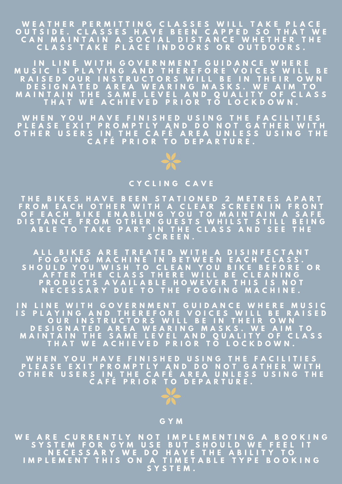WEATHER PERMITTING CLASSES WILL TAKE PLACE OUTSIDE. CLASSES HAVE BEEN CAPPED SO THAT WE CAN MAINTAIN A SOCIAL DISTANCE WHETHER THE CLASS TAKE PLACE INDOORS OR OUTDOORS.

IN LINE WITH GOVERNMENT GUIDANCE WHERE MUSIC IS PLAYING AND THEREFORE VOICES WILL BE RAISED OUR INSTRUCTORS WILL BE IN THEIR OWN DESIGNATED AREA WEARING MASKS. WE AIM TO MAINTAIN THE SAME LEVEL AND QUALITY OF CLASS THAT WE ACHIEVED PRIOR TO LOCKDOWN.

WHEN YOU HAVE FINISHED USING THE FACILITIES PLEASE EXIT PROMPTLY AND DO NOT GATHER WITH OTHER USERS IN THE CAFE AREA UNLESS USING THE **C A F É P R I O R T O D E P A R T U R E .**



#### **C Y C L I N G C A V E**

THE BIKES HAVE BEEN STATIONED 2 METRES APART FROM EACH OTHER WITH A CLEAR SCREEN IN FRONT OF EACH BIKE ENABLING YOU TO MAINTAIN A SAFE DISTANCE FROM OTHER GUESTS WHILST STILL BEING ABLE TO TAKE PART IN THE CLASS AND SEE THE **S C R E E N .**

ALL BIKES ARE TREATED WITH A DISINFECTANT FOGGING MACHINE IN BETWEEN EACH CLASS. SHOULD YOU WISH TO CLEAN YOU BIKE BEFORE OR AFTER THE CLASS THERE WILL BE CLEANING PRODUCTS AVAILABLE HOWEVER THIS IS NOT NECESSARY DUE TO THE FOGGING MACHINE.

IN LINE WITH GOVERNMENT GUIDANCE WHERE MUSIC IS PLAYING AND THEREFORE VOICES WILL BE RAISED OUR INSTRUCTORS WILL BE IN THEIR OWN DESIGNATED AREA WEARING MASKS. WE AIM TO MAINTAIN THE SAME LEVEL AND QUALITY OF CLASS THAT WE ACHIEVED PRIOR TO LOCKDOWN.

WHEN YOU HAVE FINISHED USING THE FACILITIES PLEASE EXIT PROMPTLY AND DO NOT GATHER WITH OTHER USERS IN THE CAFE AREA UNLESS USING THE **C A F É P R I O R T O D E P A R T U R E .**



#### **G Y M**

WE ARE CURRENTLY NOT IMPLEMENTING A BOOKING SYSTEM FOR GYM USE BUT SHOULD WE FEEL IT NECESSARY WE DO HAVE THE ABILITY TO IMPLEMENT THIS ON A TIMETABLE TYPE BOOKING **S Y S T E M .**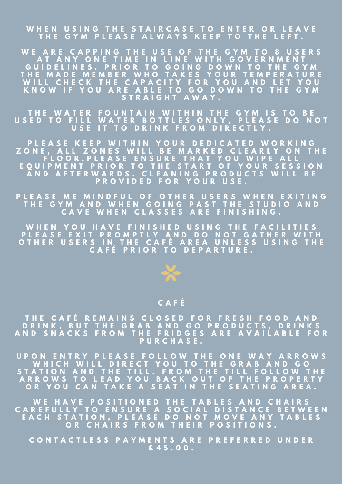#### WHEN USING THE STAIRCASE TO ENTER OR LEAVE IHE GYM PLEASE ALWAYS KEEP IO IHE LEFI.

WE ARE CAPPING THE USE OF THE GYM TO 8 USERS AT ANY ONE TIME IN LINE WITH GOVERNMENT GUIDELINES. PRIOR TO GOING DOWN TO THE GYM IHE MADE MEMBER WHO IAKES YOUR IEMPERAIURE WILL CHECK THE CAPACITY FOR YOU AND LET YOU KNOW IF YOU ARE ABLE TO GO DOWN TO THE GYM **S T R A I G H T A W A Y .**

THE WATER FOUNTAIN WITHIN THE GYM IS TO BE USED TO FILL WATER BOTTLES ONLY, PLEASE DO NOT **U S E I T T O D R I N K F R O M D I R E C T L Y .**

PLEASE KEEP WITHIN YOUR DEDICATED WORKING ZONE, ALL ZONES WILL BE MARKED CLEARLY ON THE FLOOR.PLEASE ENSURE THAT YOU WIPE ALL EQUIPMENT PRIOR TO THE START OF YOUR SESSION AND AFTERWARDS. CLEANING PRODUCTS WILL BE **P R O V I D E D F O R Y O U R U S E .**

PLEASE ME MINDFUL OF OTHER USERS WHEN EXITING THE GYM AND WHEN GOING PAST THE STUDIO AND CAVE WHEN CLASSES ARE FINISHING.

WHEN YOU HAVE FINISHED USING THE FACILITIES PLEASE EXIT PROMPTLY AND DO NOT GATHER WITH OTHER USERS IN THE CAFE AREA UNLESS USING THE **C A F É P R I O R T O D E P A R T U R E .**



## **C A F É**

THE CAFE REMAINS CLOSED FOR FRESH FOOD AND DRINK, BUT THE GRAB AND GO PRODUCTS, DRINKS AND SNACKS FROM THE FRIDGES ARE AVAILABLE FOR **P U R C H A S E .**

UPON ENTRY PLEASE FOLLOW THE ONE WAY ARROWS WHICH WILL DIRECT YOU TO THE GRAB AND GO STATION AND THE TILL. FROM THE TILL FOLLOW THE ARROWS TO LEAD YOU BACK OUT OF THE PROPERTY OR YOU CAN TAKE A SEAT IN THE SEATING AREA.

WE HAVE POSITIONED THE TABLES AND CHAIRS CAREFULLY TO ENSURE A SOCIAL DISTANCE BETWEEN EACH STATION, PLEASE DO NOT MOVE ANY TABLES OR CHAIRS FROM THEIR POSITIONS.

CONTACTLESS PAYMENTS ARE PREFERRED UNDER **£ 4 5 . 0 0 .**